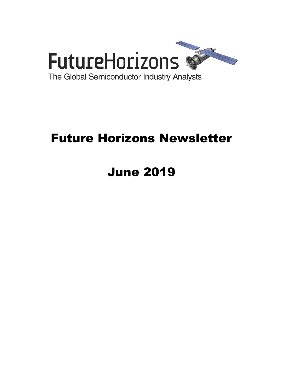

# Future Horizons Newsletter

# June 2019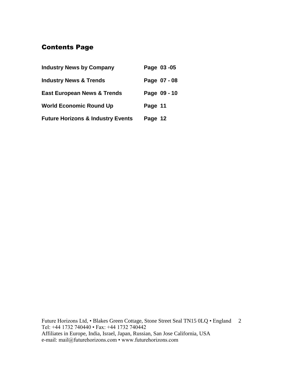# Contents Page

| <b>Industry News by Company</b>              | Page 03-05   |
|----------------------------------------------|--------------|
| <b>Industry News &amp; Trends</b>            | Page 07 - 08 |
| <b>East European News &amp; Trends</b>       | Page 09 - 10 |
| <b>World Economic Round Up</b>               | Page 11      |
| <b>Future Horizons &amp; Industry Events</b> | Page 12      |

Future Horizons Ltd, • Blakes Green Cottage, Stone Street Seal TN15 0LQ • England 2 Tel: +44 1732 740440 • Fax: +44 1732 740442 Affiliates in Europe, India, Israel, Japan, Russian, San Jose California, USA e-mail: mail@futurehorizons.com • www.futurehorizons.com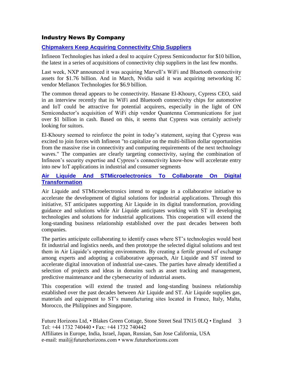#### Industry News By Company

#### **[Chipmakers Keep Acquiring Connectivity Chip Suppliers](https://www.eetindia.co.in/news/article/Chipmakers-Keep-Acquiring-Connectivity-Chip-Suppliers?utm_source=EETI%20Article%20Alert&utm_medium=Email&utm_campaign=2019-06-05)**

Infineon Technologies has inked a deal to acquire Cypress Semiconductor for \$10 billion, the latest in a series of acquisitions of connectivity chip suppliers in the last few months.

Last week, NXP announced it was acquiring Marvell's WiFi and Bluetooth connectivity assets for \$1.76 billion. And in March, Nvidia said it was acquiring networking IC vendor Mellanox Technologies for \$6.9 billion.

The common thread appears to be connectivity. Hassane El-Khoury, Cypress CEO, said in an interview recently that its WiFi and Bluetooth connectivity chips for automotive and IoT could be attractive for potential acquirers, especially in the light of ON Semiconductor's acquisition of WiFi chip vendor Quantenna Communications for just over \$1 billion in cash. Based on this, it seems that Cypress was certainly actively looking for suitors.

El-Khoury seemed to reinforce the point in today's statement, saying that Cypress was excited to join forces with Infineon "to capitalize on the multi-billion dollar opportunities from the massive rise in connectivity and computing requirements of the next technology waves." The companies are clearly targeting connectivity, saying the combination of Infineon's security expertise and Cypress's connectivity know-how will accelerate entry into new IoT applications in industrial and consumer segments

#### **[Air Liquide And STMicroelectronics To Collaborate On Digital](https://www.st.com/content/st_com/en/about/media-center/press-item.html/c2897.html)  [Transformation](https://www.st.com/content/st_com/en/about/media-center/press-item.html/c2897.html)**

Air Liquide and STMicroelectronics intend to engage in a collaborative initiative to accelerate the development of digital solutions for industrial applications. Through this initiative, ST anticipates supporting Air Liquide in its digital transformation, providing guidance and solutions while Air Liquide anticipates working with ST in developing technologies and solutions for industrial applications. This cooperation will extend the long-standing business relationship established over the past decades between both companies.

The parties anticipate collaborating to identify cases where ST's technologies would best fit industrial and logistics needs, and then prototype the selected digital solutions and test them in Air Liquide's operating environments. By creating a fertile ground of exchange among experts and adopting a collaborative approach, Air Liquide and ST intend to accelerate digital innovation of industrial use-cases. The parties have already identified a selection of projects and ideas in domains such as asset tracking and management, predictive maintenance and the cybersecurity of industrial assets.

This cooperation will extend the trusted and long-standing business relationship established over the past decades between Air Liquide and ST. Air Liquide supplies gas, materials and equipment to ST's manufacturing sites located in France, Italy, Malta, Morocco, the Philippines and Singapore.

Future Horizons Ltd, • Blakes Green Cottage, Stone Street Seal TN15 0LQ • England Tel: +44 1732 740440 • Fax: +44 1732 740442 Affiliates in Europe, India, Israel, Japan, Russian, San Jose California, USA e-mail: mail@futurehorizons.com • www.futurehorizons.com 3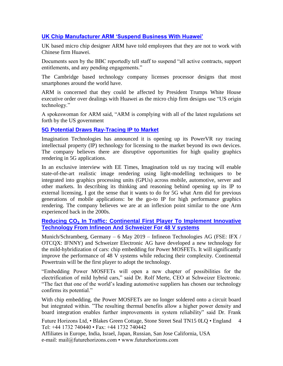#### **[UK Chip Manufacturer ARM 'Suspend Business With Huawei'](https://www.bmmagazine.co.uk/news/uk-chip-manufacturer-arm-suspend-business-with-huawei/)**

UK based micro chip designer ARM have told employees that they are not to work with Chinese firm Huawei.

Documents seen by the BBC reportedly tell staff to suspend "all active contracts, support entitlements, and any pending engagements."

The Cambridge based technology company licenses processor designs that most smartphones around the world have.

ARM is concerned that they could be affected by President Trumps White House executive order over dealings with Huawei as the micro chip firm designs use "US origin technology."

A spokeswoman for ARM said, "ARM is complying with all of the latest regulations set forth by the US government

#### **[5G Potential Draws Ray-Tracing IP to Market](https://www.eetindia.co.in/news/article/5G-Potential-Draws-Ray-Tracing-IP-to-Market)**

Imagination Technologies has announced it is opening up its PowerVR ray tracing intellectual property (IP) technology for licensing to the market beyond its own devices. The company believes there are disruptive opportunities for high quality graphics rendering in 5G applications.

In an exclusive interview with EE Times, Imagination told us ray tracing will enable state-of-the-art realistic image rendering using light-modelling techniques to be integrated into graphics processing units (GPUs) across mobile, automotive, server and other markets. In describing its thinking and reasoning behind opening up its IP to external licensing, I got the sense that it wants to do for 5G what Arm did for previous generations of mobile applications: be the go-to IP for high performance graphics rendering. The company believes we are at an inflexion point similar to the one Arm experienced back in the 2000s.

#### **Reducing CO**₂ **[In Traffic: Continental First Player To Implement Innovative](https://www.infineon.com/cms/en/about-infineon/press/market-news/2019/INFATV201905-068.html)  [Technology From Infineon And Schweizer For 48 V systems](https://www.infineon.com/cms/en/about-infineon/press/market-news/2019/INFATV201905-068.html)**

Munich/Schramberg, Germany – 6 May 2019 – Infineon Technologies AG (FSE: IFX / OTCQX: IFNNY) and Schweizer Electronic AG have developed a new technology for the mild-hybridization of cars: chip embedding for Power MOSFETs. It will significantly improve the performance of 48 V systems while reducing their complexity. Continental Powertrain will be the first player to adopt the technology.

"Embedding Power MOSFETs will open a new chapter of possibilities for the electrification of mild hybrid cars," said Dr. Rolf Merte, CEO at Schweizer Electronic. "The fact that one of the world's leading automotive suppliers has chosen our technology confirms its potential."

With chip embedding, the Power MOSFETs are no longer soldered onto a circuit board but integrated within. "The resulting thermal benefits allow a higher power density and board integration enables further improvements in system reliability" said Dr. Frank

Future Horizons Ltd, • Blakes Green Cottage, Stone Street Seal TN15 0LQ • England Tel: +44 1732 740440 • Fax: +44 1732 740442 4

Affiliates in Europe, India, Israel, Japan, Russian, San Jose California, USA e-mail: mail@futurehorizons.com • www.futurehorizons.com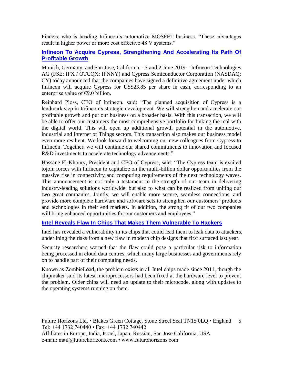Findeis, who is heading Infineon's automotive MOSFET business. "These advantages result in higher power or more cost effective 48 V systems."

#### **[Infineon To Acquire Cypress, Strengthening And Accelerating Its Path Of](https://www.infineon.com/cms/en/about-infineon/press/press-releases/2019/INFXX201906-074.html)  [Profitable Growth](https://www.infineon.com/cms/en/about-infineon/press/press-releases/2019/INFXX201906-074.html)**

Munich, Germany, and San Jose, California – 3 and 2 June 2019 – Infineon Technologies AG (FSE: IFX / OTCQX: IFNNY) and Cypress Semiconductor Corporation (NASDAQ: CY) today announced that the companies have signed a definitive agreement under which Infineon will acquire Cypress for US\$23.85 per share in cash, corresponding to an enterprise value of  $\epsilon$ 9.0 billion.

Reinhard Ploss, CEO of Infineon, said: "The planned acquisition of Cypress is a landmark step in Infineon's strategic development. We will strengthen and accelerate our profitable growth and put our business on a broader basis. With this transaction, we will be able to offer our customers the most comprehensive portfolio for linking the real with the digital world. This will open up additional growth potential in the automotive, industrial and Internet of Things sectors. This transaction also makes our business model even more resilient. We look forward to welcoming our new colleagues from Cypress to Infineon. Together, we will continue our shared commitments to innovation and focused R&D investments to accelerate technology advancements."

Hassane El-Khoury, President and CEO of Cypress, said: "The Cypress team is excited tojoin forces with Infineon to capitalize on the multi-billion dollar opportunities from the massive rise in connectivity and computing requirements of the next technology waves. This announcement is not only a testament to the strength of our team in delivering industry-leading solutions worldwide, but also to what can be realized from uniting our two great companies. Jointly, we will enable more secure, seamless connections, and provide more complete hardware and software sets to strengthen our customers' products and technologies in their end markets. In addition, the strong fit of our two companies will bring enhanced opportunities for our customers and employees."

#### **[Intel Reveals Flaw In Chips That Makes Them Vulnerable To Hackers](https://www.ft.com/content/d60cda42-7699-11e9-be7d-6d846537acab?desktop=true&segmentId=7c8f09b9-9b61-4fbb-9430-9208a9e233c8#myft:notification:daily-email:content)**

Intel has revealed a vulnerability in its chips that could lead them to leak data to attackers, underlining the risks from a new flaw in modern chip designs that first surfaced last year.

Security researchers warned that the flaw could pose a particular risk to information being processed in cloud data centres, which many large businesses and governments rely on to handle part of their computing needs.

Known as ZombieLoad, the problem exists in all Intel chips made since 2011, though the chipmaker said its latest microprocessors had been fixed at the hardware level to prevent the problem. Older chips will need an update to their microcode, along with updates to the operating systems running on them.

Future Horizons Ltd, • Blakes Green Cottage, Stone Street Seal TN15 0LQ • England 5 Tel: +44 1732 740440 • Fax: +44 1732 740442 Affiliates in Europe, India, Israel, Japan, Russian, San Jose California, USA e-mail: mail@futurehorizons.com • www.futurehorizons.com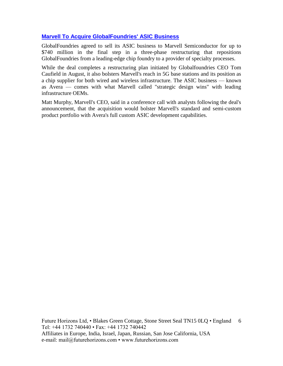#### **[Marvell To Acquire GlobalFoundries' ASIC Business](https://www.eetindia.co.in/news/article/Marvell-to-Acquire-GlobalFoundries-ASIC-Business?utm_source=EETI%20Article%20Alert&utm_medium=Email&utm_campaign=2019-05-23)**

GlobalFoundries agreed to sell its ASIC business to Marvell Semiconductor for up to \$740 million in the final step in a three-phase restructuring that repositions GlobalFoundries from a leading-edge chip foundry to a provider of specialty processes.

While the deal completes a restructuring plan initiated by Globalfoundries CEO Tom Caufield in August, it also bolsters Marvell's reach in 5G base stations and its position as a chip supplier for both wired and wireless infrastructure. The ASIC business — known as Avera — comes with what Marvell called "strategic design wins" with leading infrastructure OEMs.

Matt Murphy, Marvell's CEO, said in a conference call with analysts following the deal's announcement, that the acquisition would bolster Marvell's standard and semi-custom product portfolio with Avera's full custom ASIC development capabilities.

Future Horizons Ltd, • Blakes Green Cottage, Stone Street Seal TN15 0LQ • England 6 Tel: +44 1732 740440 • Fax: +44 1732 740442 Affiliates in Europe, India, Israel, Japan, Russian, San Jose California, USA e-mail: mail@futurehorizons.com • www.futurehorizons.com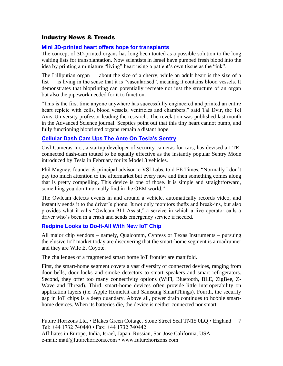#### Industry News & Trends

#### **[Mini 3D-printed heart offers hope for transplants](https://www.ft.com/content/67fbca0c-6c05-11e9-80c7-60ee53e6681d?segmentId=a7371401-027d-d8bf-8a7f-2a746e767d56)**

The concept of 3D-printed organs has long been touted as a possible solution to the long waiting lists for transplantation. Now scientists in Israel have pumped fresh blood into the idea by printing a miniature "living" heart using a patient's own tissue as the "ink".

The Lilliputian organ — about the size of a cherry, while an adult heart is the size of a fist — is living in the sense that it is "vascularised", meaning it contains blood vessels. It demonstrates that bioprinting can potentially recreate not just the structure of an organ but also the pipework needed for it to function.

"This is the first time anyone anywhere has successfully engineered and printed an entire heart replete with cells, blood vessels, ventricles and chambers," said Tal Dvir, the Tel Aviv University professor leading the research. The revelation was published last month in the Advanced Science journal. Sceptics point out that this tiny heart cannot pump, and fully functioning bioprinted organs remain a distant hope.

#### **[Cellular Dash Cam Ups The Ante On Tesla's Sentry](https://www.eetimes.com/document.asp?doc_id=1334690&_mc=RSS_EET_EDT&utm_source=newsletter&utm_campaign=link&utm_medium=EETimesDaily-20190515)**

Owl Cameras Inc., a startup developer of security cameras for cars, has devised a LTEconnected dash-cam touted to be equally effective as the instantly popular Sentry Mode introduced by Tesla in February for its Model 3 vehicles.

Phil Magney, founder & principal advisor to VSI Labs, told EE Times, "Normally I don't pay too much attention to the aftermarket but every now and then something comes along that is pretty compelling. This device is one of those. It is simple and straightforward, something you don't normally find in the OEM world."

The Owlcam detects events in and around a vehicle, automatically records video, and instantly sends it to the driver's phone. It not only monitors thefts and break-ins, but also provides what it calls "Owlcam 911 Assist," a service in which a live operator calls a driver who's been in a crash and sends emergency service if needed.

#### **[Redpine Looks to Do-It-All With New IoT Chip](https://www.eetindia.co.in/news/article/Redpine-Looks-to-Do-It-All-with-New-IoT-Chip?utm_source=EETI%20Article%20Alert&utm_medium=Email&utm_campaign=2019-05-23)**

All major chip vendors – namely, Qualcomm, Cypress or Texas Instruments – pursuing the elusive IoT market today are discovering that the smart-home segment is a roadrunner and they are Wile E. Coyote.

The challenges of a fragmented smart home IoT frontier are manifold.

First, the smart-home segment covers a vast diversity of connected devices, ranging from door bells, door locks and smoke detectors to smart speakers and smart refrigerators. Second, they offer too many connectivity options (WiFi, Bluetooth, BLE, ZigBee, Z-Wave and Thread). Third, smart-home devices often provide little interoperability on application layers (i.e. Apple HomeKit and Samsung SmartThings). Fourth, the security gap in IoT chips is a deep quandary. Above all, power drain continues to hobble smarthome devices. When its batteries die, the device is neither connected nor smart.

Future Horizons Ltd, • Blakes Green Cottage, Stone Street Seal TN15 0LQ • England 7 Tel: +44 1732 740440 • Fax: +44 1732 740442 Affiliates in Europe, India, Israel, Japan, Russian, San Jose California, USA e-mail: mail@futurehorizons.com • www.futurehorizons.com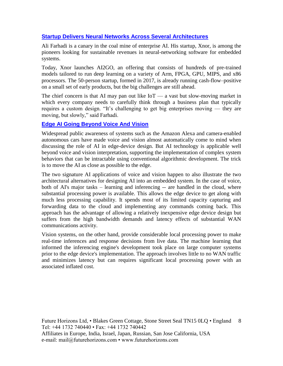#### **[Startup Delivers Neural Networks Across Several Architectures](https://www.eetindia.co.in/news/article/Startup-Delivers-Neural-Networks-Across-Several-Architectures)**

Ali Farhadi is a canary in the coal mine of enterprise AI. His startup, Xnor, is among the pioneers looking for sustainable revenues in neural-networking software for embedded systems.

Today, Xnor launches AI2GO, an offering that consists of hundreds of pre-trained models tailored to run deep learning on a variety of Arm, FPGA, GPU, MIPS, and x86 processors. The 50-person startup, formed in 2017, is already running cash-flow–positive on a small set of early products, but the big challenges are still ahead.

The chief concern is that AI may pan out like  $I \circ T - a$  vast but slow-moving market in which every company needs to carefully think through a business plan that typically requires a custom design. "It's challenging to get big enterprises moving — they are moving, but slowly," said Farhadi.

#### **[Edge AI Going Beyond Voice And Vision](https://www.eetimes.com/document.asp?doc_id=1334753&_mc=RSS_EET_EDT&utm_source=newsletter&utm_campaign=link&utm_medium=EETimesDaily-20190529)**

Widespread public awareness of systems such as the Amazon Alexa and camera-enabled autonomous cars have made voice and vision almost automatically come to mind when discussing the role of AI in edge-device design. But AI technology is applicable well beyond voice and vision interpretation, supporting the implementation of complex system behaviors that can be intractable using conventional algorithmic development. The trick is to move the AI as close as possible to the edge.

The two signature AI applications of voice and vision happen to also illustrate the two architectural alternatives for designing AI into an embedded system. In the case of voice, both of AI's major tasks – learning and inferencing -- are handled in the cloud, where substantial processing power is available. This allows the edge device to get along with much less processing capability. It spends most of its limited capacity capturing and forwarding data to the cloud and implementing any commands coming back. This approach has the advantage of allowing a relatively inexpensive edge device design but suffers from the high bandwidth demands and latency effects of substantial WAN communications activity.

Vision systems, on the other hand, provide considerable local processing power to make real-time inferences and response decisions from live data. The machine learning that informed the inferencing engine's development took place on large computer systems prior to the edge device's implementation. The approach involves little to no WAN traffic and minimizes latency but can requires significant local processing power with an associated inflated cost.

Future Horizons Ltd, • Blakes Green Cottage, Stone Street Seal TN15 0LQ • England 8 Tel: +44 1732 740440 • Fax: +44 1732 740442 Affiliates in Europe, India, Israel, Japan, Russian, San Jose California, USA e-mail: mail@futurehorizons.com • www.futurehorizons.com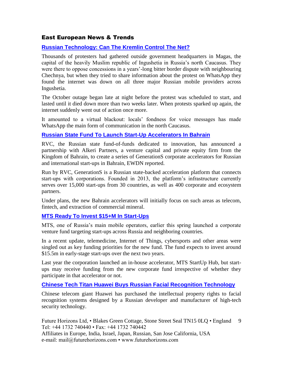#### East European News & Trends

#### **[Russian Technology: Can The Kremlin Control The Net?](https://www.ft.com/content/93be9242-85e0-11e9-a028-86cea8523dc2?desktop=true&segmentId=7c8f09b9-9b61-4fbb-9430-9208a9e233c8#myft:notification:daily-email:content)**

Thousands of protesters had gathered outside government headquarters in Magas, the capital of the heavily Muslim republic of Ingushetia in Russia's north Caucasus. They were there to oppose concessions in a years'-long bitter border dispute with neighbouring Chechnya, but when they tried to share information about the protest on WhatsApp they found the internet was down on all three major Russian mobile providers across Ingushetia.

The October outage began late at night before the protest was scheduled to start, and lasted until it died down more than two weeks later. When protests sparked up again, the internet suddenly went out of action once more.

It amounted to a virtual blackout: locals' fondness for voice messages has made WhatsApp the main form of communication in the north Caucasus.

#### **[Russian State Fund To Launch Start-Up Accelerators In Bahrain](http://www.marchmontnews.com/Finance-Business/Central-regions/22068-Russian-state-fund-launch-start-up-accelerators-Bahrain.html)**

RVC, the Russian state fund-of-funds dedicated to innovation, has announced a partnership with Alkeri Partners, a venture capital and private equity firm from the Kingdom of Bahrain, to create a series of GenerationS corporate accelerators for Russian and international start-ups in Bahrain, EWDN reported.

Run by RVC, GenerationS is a Russian state-backed acceleration platform that connects start-ups with corporations. Founded in 2013, the platform's infrastructure currently serves over 15,000 start-ups from 30 countries, as well as 400 corporate and ecosystem partners.

Under plans, the new Bahrain accelerators will initially focus on such areas as telecom, fintech, and extraction of commercial mineral.

#### **[MTS Ready To Invest \\$15+M In Start-Ups](http://www.marchmontnews.com/Finance-Business/Central-regions/22062-MTS-ready-invest-15m-start-ups.html)**

MTS, one of Russia's main mobile operators, earlier this spring launched a corporate venture fund targeting start-ups across Russia and neighboring countries.

In a recent update, telemedicine, Internet of Things, cybersports and other areas were singled out as key funding priorities for the new fund. The fund expects to invest around \$15.5m in early-stage start-ups over the next two years.

Last year the corporation launched an in-house accelerator, MTS StartUp Hub, but startups may receive funding from the new corporate fund irrespective of whether they participate in that accelerator or not.

#### **[Chinese Tech Titan Huawei Buys Russian Facial Recognition Technology](https://www.rt.com/business/460945-huawei-purchase-russia-face-id/)**

Chinese telecom giant Huawei has purchased the intellectual property rights to facial recognition systems designed by a Russian developer and manufacturer of high-tech security technology.

Future Horizons Ltd, • Blakes Green Cottage, Stone Street Seal TN15 0LQ • England Tel: +44 1732 740440 • Fax: +44 1732 740442 9

Affiliates in Europe, India, Israel, Japan, Russian, San Jose California, USA e-mail: mail@futurehorizons.com • www.futurehorizons.com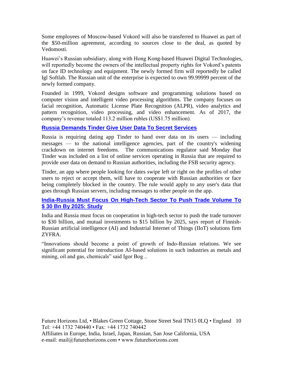Some employees of Moscow-based Vokord will also be transferred to Huawei as part of the \$50-million agreement, according to sources close to the deal, as quoted by Vedomosti.

Huawei's Russian subsidiary, along with Hong Kong-based Huawei Digital Technologies, will reportedly become the owners of the intellectual property rights for Vokord's patents on face ID technology and equipment. The newly formed firm will reportedly be called Igl Softlab. The Russian unit of the enterprise is expected to own 99.99999 percent of the newly formed company.

Founded in 1999, Vokord designs software and programming solutions based on computer vision and intelligent video processing algorithms. The company focuses on facial recognition, Automatic License Plate Recognition (ALPR), video analytics and pattern recognition, video processing, and video enhancement. As of 2017, the company's revenue totaled 113.2 million rubles (US\$1.75 million).

#### **[Russia Demands Tinder Give User Data To Secret Services](https://www.rt.com/business/460945-huawei-purchase-russia-face-id/)**

Russia is requiring dating app Tinder to hand over data on its users — including messages — to the national intelligence agencies, part of the country's widening crackdown on internet freedoms. The communications regulator said Monday that Tinder was included on a list of online services operating in Russia that are required to provide user data on demand to Russian authorities, including the FSB security agency.

Tinder, an app where people looking for dates swipe left or right on the profiles of other users to reject or accept them, will have to cooperate with Russian authorities or face being completely blocked in the country. The rule would apply to any user's data that goes through Russian servers, including messages to other people on the app.

#### **[India-Russia Must Focus On High-Tech Sector To Push Trade Volume To](https://economictimes.indiatimes.com/news/economy/foreign-trade/india-russia-must-focus-on-high-tech-sector-to-push-trade-volume-to-30-bn-by-2025-study/articleshow/69143196.cms)  [\\$ 30 Bn By 2025: Study](https://economictimes.indiatimes.com/news/economy/foreign-trade/india-russia-must-focus-on-high-tech-sector-to-push-trade-volume-to-30-bn-by-2025-study/articleshow/69143196.cms)**

India and Russia must focus on cooperation in high-tech sector to push the trade turnover to \$30 billion, and mutual investments to \$15 billion by 2025, says report of Finnish-Russian artificial intelligence (AI) and Industrial Internet of Things (IIoT) solutions firm ZYFRA.

"Innovations should become a point of growth of Indo-Russian relations. We see significant potential for introduction AI-based solutions in such industries as metals and mining, oil and gas, chemicals" said Igor Bog ..

Future Horizons Ltd, • Blakes Green Cottage, Stone Street Seal TN15 0LQ • England 10 Tel: +44 1732 740440 • Fax: +44 1732 740442 Affiliates in Europe, India, Israel, Japan, Russian, San Jose California, USA e-mail: mail@futurehorizons.com • www.futurehorizons.com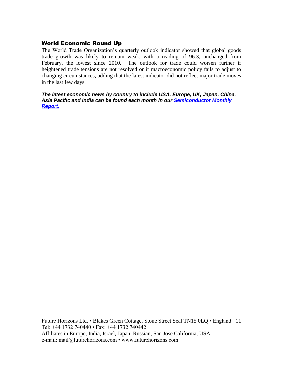#### World Economic Round Up

The World Trade Organization's quarterly outlook indicator showed that global goods trade growth was likely to remain weak, with a reading of 96.3, unchanged from February, the lowest since 2010. The outlook for trade could worsen further if heightened trade tensions are not resolved or if macroeconomic policy fails to adjust to changing circumstances, adding that the latest indicator did not reflect major trade moves in the last few days.

*The latest economic news by country to include USA, Europe, UK, Japan, China, Asia Pacific and India can be found each month in our [Semiconductor Monthly](http://www.futurehorizons.com/page/18/Global-Semiconductor-Report)  [Report.](http://www.futurehorizons.com/page/18/Global-Semiconductor-Report)* 

Future Horizons Ltd, • Blakes Green Cottage, Stone Street Seal TN15 0LQ • England 11 Tel: +44 1732 740440 • Fax: +44 1732 740442 Affiliates in Europe, India, Israel, Japan, Russian, San Jose California, USA e-mail: mail@futurehorizons.com • www.futurehorizons.com